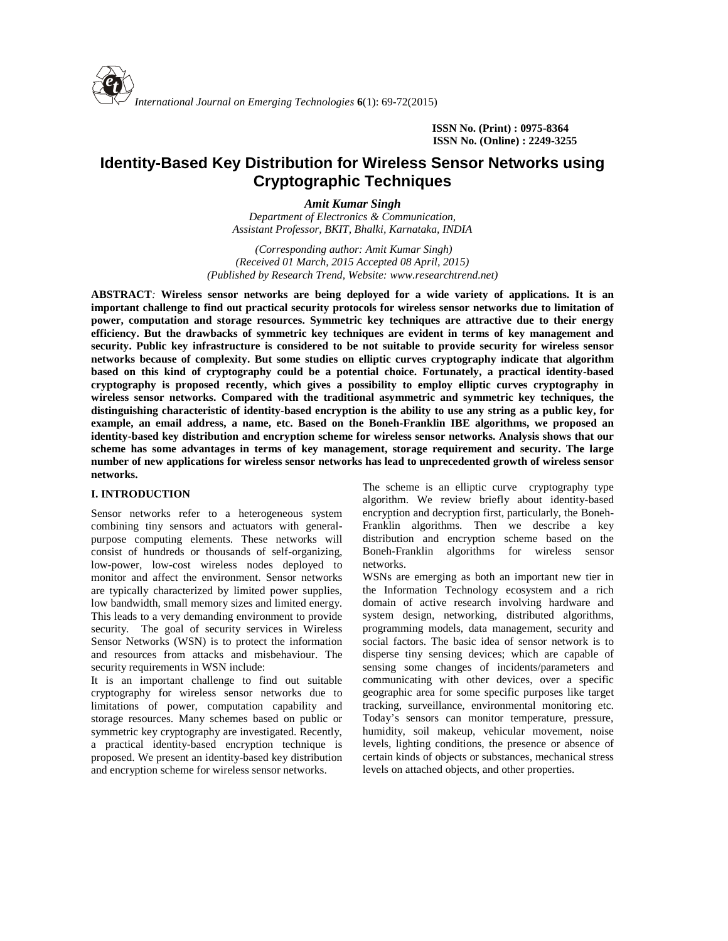**ISSN No. (Print) : 0975-8364 ISSN No. (Online) : 2249-3255**

# **Identity-Based Key Distribution for Wireless Sensor Networks using Cryptographic Techniques**

*Amit Kumar Singh*

*Department of Electronics & Communication, Assistant Professor, BKIT, Bhalki, Karnataka, INDIA*

*(Corresponding author: Amit Kumar Singh) (Received 01 March, 2015 Accepted 08 April, 2015) (Published by Research Trend, Website: [www.researchtrend.net\)](www.researchtrend.net)*

**ABSTRACT***:* **Wireless sensor networks are being deployed for a wide variety of applications. It is an important challenge to find out practical security protocols for wireless sensor networks due to limitation of power, computation and storage resources. Symmetric key techniques are attractive due to their energy efficiency. But the drawbacks of symmetric key techniques are evident in terms of key management and security. Public key infrastructure is considered to be not suitable to provide security for wireless sensor networks because of complexity. But some studies on elliptic curves cryptography indicate that algorithm based on this kind of cryptography could be a potential choice. Fortunately, a practical identity-based cryptography is proposed recently, which gives a possibility to employ elliptic curves cryptography in wireless sensor networks. Compared with the traditional asymmetric and symmetric key techniques, the distinguishing characteristic of identity-based encryption is the ability to use any string as a public key, for example, an email address, a name, etc. Based on the Boneh-Franklin IBE algorithms, we proposed an identity-based key distribution and encryption scheme for wireless sensor networks. Analysis shows that our scheme has some advantages in terms of key management, storage requirement and security. The large number of new applications for wireless sensor networks has lead to unprecedented growth of wireless sensor networks.**

## **I. INTRODUCTION**

Sensor networks refer to a heterogeneous system combining tiny sensors and actuators with general purpose computing elements. These networks will consist of hundreds or thousands of self-organizing, low-power, low-cost wireless nodes deployed to monitor and affect the environment. Sensor networks are typically characterized by limited power supplies, low bandwidth, small memory sizes and limited energy. This leads to a very demanding environment to provide security. The goal of security services in Wireless Sensor Networks (WSN) is to protect the information and resources from attacks and misbehaviour. The security requirements in WSN include:

It is an important challenge to find out suitable cryptography for wireless sensor networks due to limitations of power, computation capability and storage resources. Many schemes based on public or symmetric key cryptography are investigated. Recently, a practical identity-based encryption technique is proposed. We present an identity-based key distribution and encryption scheme for wireless sensor networks.

The scheme is an elliptic curve cryptography type algorithm. We review briefly about identity-based encryption and decryption first, particularly, the Boneh- Franklin algorithms. Then we describe a key distribution and encryption scheme based on the Boneh-Franklin algorithms for wireless sensor networks.

WSNs are emerging as both an important new tier in the Information Technology ecosystem and a rich domain of active research involving hardware and system design, networking, distributed algorithms, programming models, data management, security and social factors. The basic idea of sensor network is to disperse tiny sensing devices; which are capable of sensing some changes of incidents/parameters and communicating with other devices, over a specific geographic area for some specific purposes like target tracking, surveillance, environmental monitoring etc. Today's sensors can monitor temperature, pressure, humidity, soil makeup, vehicular movement, noise levels, lighting conditions, the presence or absence of certain kinds of objects or substances, mechanical stress levels on attached objects, and other properties.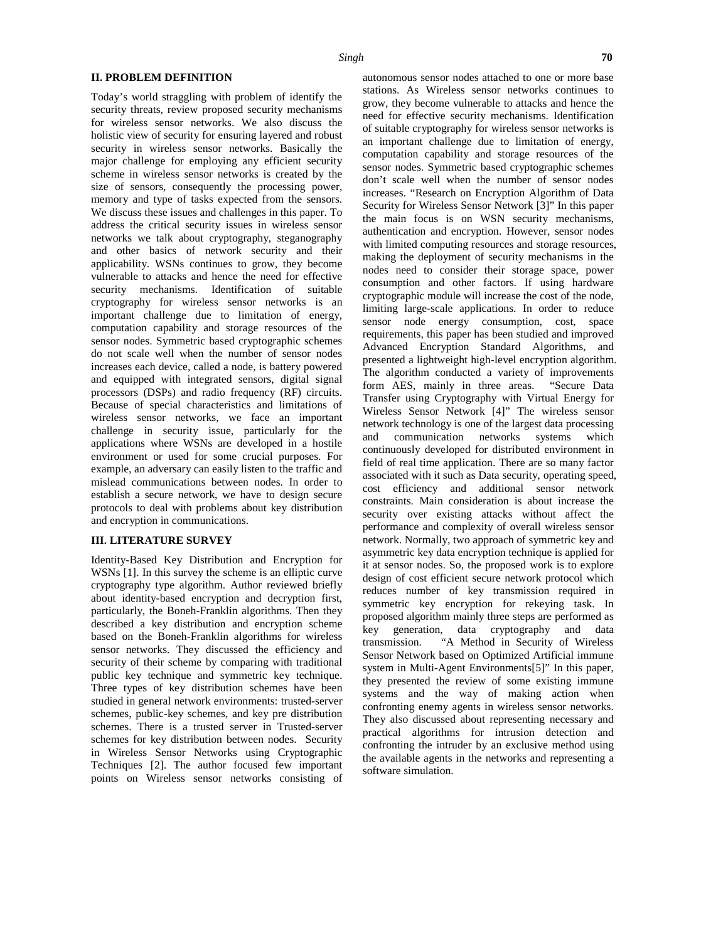## **II. PROBLEM DEFINITION**

Today's world straggling with problem of identify the security threats, review proposed security mechanisms for wireless sensor networks. We also discuss the holistic view of security for ensuring layered and robust security in wireless sensor networks. Basically the major challenge for employing any efficient security scheme in wireless sensor networks is created by the size of sensors, consequently the processing power, memory and type of tasks expected from the sensors. We discuss these issues and challenges in this paper. To address the critical security issues in wireless sensor networks we talk about cryptography, steganography and other basics of network security and their applicability. WSNs continues to grow, they become vulnerable to attacks and hence the need for effective security mechanisms. Identification of suitable cryptography for wireless sensor networks is an important challenge due to limitation of energy, computation capability and storage resources of the sensor nodes. Symmetric based cryptographic schemes do not scale well when the number of sensor nodes increases each device, called a node, is battery powered and equipped with integrated sensors, digital signal processors (DSPs) and radio frequency (RF) circuits. Because of special characteristics and limitations of wireless sensor networks, we face an important challenge in security issue, particularly for the  $\frac{new}{and}$ applications where WSNs are developed in a hostile environment or used for some crucial purposes. For example, an adversary can easily listen to the traffic and mislead communications between nodes. In order to establish a secure network, we have to design secure protocols to deal with problems about key distribution and encryption in communications.

#### **III. LITERATURE SURVEY**

Identity-Based Key Distribution and Encryption for WSNs [1]. In this survey the scheme is an elliptic curve cryptography type algorithm. Author reviewed briefly about identity-based encryption and decryption first, particularly, the Boneh-Franklin algorithms. Then they described a key distribution and encryption scheme  $\begin{array}{c} \text{proj} \\ \text{key} \end{array}$ based on the Boneh-Franklin algorithms for wireless transmission. sensor networks. They discussed the efficiency and security of their scheme by comparing with traditional public key technique and symmetric key technique. Three types of key distribution schemes have been studied in general network environments: trusted-server schemes, public-key schemes, and key pre distribution schemes. There is a trusted server in Trusted-server schemes for key distribution between nodes. Security in Wireless Sensor Networks using Cryptographic Techniques [2]. The author focused few important points on Wireless sensor networks consisting of

autonomous sensor nodes attached to one or more base stations. As Wireless sensor networks continues to grow, they become vulnerable to attacks and hence the need for effective security mechanisms. Identification of suitable cryptography for wireless sensor networks is an important challenge due to limitation of energy, computation capability and storage resources of the sensor nodes. Symmetric based cryptographic schemes don't scale well when the number of sensor nodes increases. "Research on Encryption Algorithm of Data Security for Wireless Sensor Network [3]" In this paper the main focus is on WSN security mechanisms, authentication and encryption. However, sensor nodes with limited computing resources and storage resources, making the deployment of security mechanisms in the nodes need to consider their storage space, power consumption and other factors. If using hardware cryptographic module will increase the cost of the node, limiting large-scale applications. In order to reduce sensor node energy consumption, cost, space requirements, this paper has been studied and improved Advanced Encryption Standard Algorithms, and presented a lightweight high-level encryption algorithm. The algorithm conducted a variety of improvements form AES, mainly in three areas. "Secure Data Transfer using Cryptography with Virtual Energy for Wireless Sensor Network [4]" The wireless sensor network technology is one of the largest data processing communication networks systems which continuously developed for distributed environment in field of real time application. There are so many factor associated with it such as Data security, operating speed, cost efficiency and additional sensor network constraints. Main consideration is about increase the security over existing attacks without affect the performance and complexity of overall wireless sensor network. Normally, two approach of symmetric key and asymmetric key data encryption technique is applied for it at sensor nodes. So, the proposed work is to explore design of cost efficient secure network protocol which reduces number of key transmission required in symmetric key encryption for rekeying task. In proposed algorithm mainly three steps are performed as generation, data cryptography and data "A Method in Security of Wireless Sensor Network based on Optimized Artificial immune system in Multi-Agent Environments[5]" In this paper, they presented the review of some existing immune systems and the way of making action when confronting enemy agents in wireless sensor networks. They also discussed about representing necessary and practical algorithms for intrusion detection and confronting the intruder by an exclusive method using the available agents in the networks and representing a software simulation.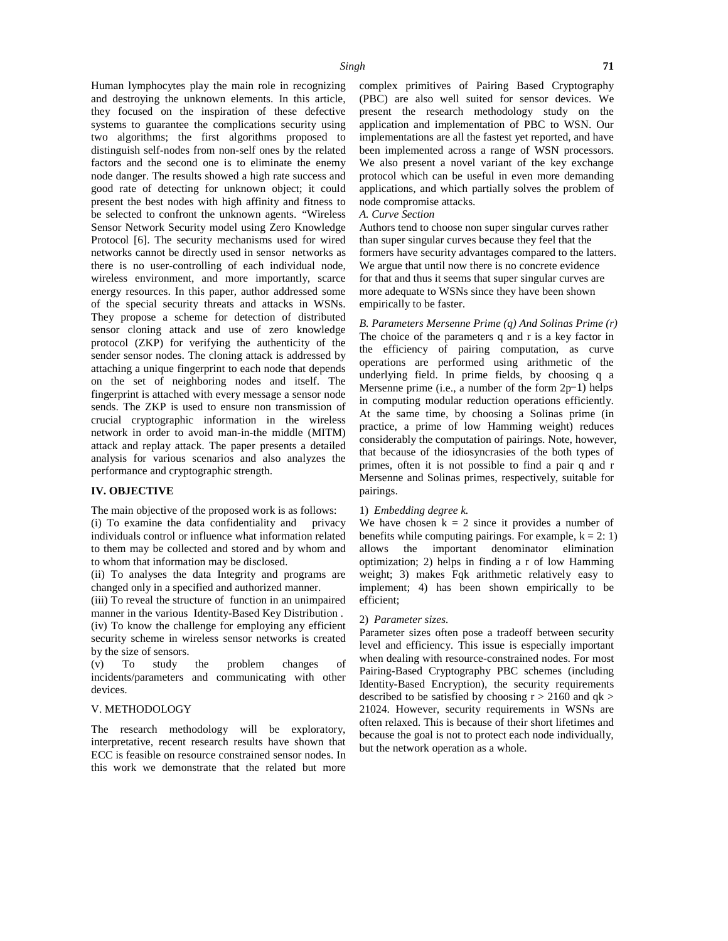Human lymphocytes play the main role in recognizing and destroying the unknown elements. In this article, they focused on the inspiration of these defective systems to guarantee the complications security using two algorithms; the first algorithms proposed to distinguish self-nodes from non-self ones by the related factors and the second one is to eliminate the enemy node danger. The results showed a high rate success and good rate of detecting for unknown object; it could present the best nodes with high affinity and fitness to be selected to confront the unknown agents. "Wireless Sensor Network Security model using Zero Knowledge Protocol [6]. The security mechanisms used for wired networks cannot be directly used in sensor networks as there is no user-controlling of each individual node, wireless environment, and more importantly, scarce energy resources. In this paper, author addressed some of the special security threats and attacks in WSNs. They propose a scheme for detection of distributed sensor cloning attack and use of zero knowledge protocol (ZKP) for verifying the authenticity of the sender sensor nodes. The cloning attack is addressed by attaching a unique fingerprint to each node that depends on the set of neighboring nodes and itself. The fingerprint is attached with every message a sensor node sends. The ZKP is used to ensure non transmission of crucial cryptographic information in the wireless network in order to avoid man-in-the middle (MITM) attack and replay attack. The paper presents a detailed analysis for various scenarios and also analyzes the performance and cryptographic strength.

# **IV. OBJECTIVE**

The main objective of the proposed work is as follows: (i) To examine the data confidentiality and privacy individuals control or influence what information related to them may be collected and stored and by whom and to whom that information may be disclosed.

(ii) To analyses the data Integrity and programs are changed only in a specified and authorized manner.

(iii) To reveal the structure of function in an unimpaired manner in the various Identity-Based Key Distribution .

(iv) To know the challenge for employing any efficient security scheme in wireless sensor networks is created by the size of sensors.

(v) To study the problem changes of incidents/parameters and communicating with other devices.

#### V. METHODOLOGY

The research methodology will be exploratory, interpretative, recent research results have shown that ECC is feasible on resource constrained sensor nodes. In this work we demonstrate that the related but more

complex primitives of Pairing Based Cryptography (PBC) are also well suited for sensor devices. We present the research methodology study on the application and implementation of PBC to WSN. Our implementations are all the fastest yet reported, and have been implemented across a range of WSN processors. We also present a novel variant of the key exchange protocol which can be useful in even more demanding applications, and which partially solves the problem of node compromise attacks.

## *A. Curve Section*

Authors tend to choose non super singular curves rather than super singular curves because they feel that the formers have security advantages compared to the latters. We argue that until now there is no concrete evidence for that and thus it seems that super singular curves are more adequate to WSNs since they have been shown empirically to be faster.

*B. Parameters Mersenne Prime (q) And Solinas Prime (r)* The choice of the parameters q and r is a key factor in the efficiency of pairing computation, as curve operations are performed using arithmetic of the underlying field. In prime fields, by choosing q a Mersenne prime (i.e., a number of the form 2p−1) helps in computing modular reduction operations efficiently. At the same time, by choosing a Solinas prime (in practice, a prime of low Hamming weight) reduces considerably the computation of pairings. Note, however, that because of the idiosyncrasies of the both types of primes, often it is not possible to find a pair q and r Mersenne and Solinas primes, respectively, suitable for pairings.

#### 1) *Embedding degree k.*

We have chosen  $k = 2$  since it provides a number of benefits while computing pairings. For example,  $k = 2: 1$ ) allows the important denominator elimination optimization; 2) helps in finding a r of low Hamming weight; 3) makes Fqk arithmetic relatively easy to implement; 4) has been shown empirically to be efficient;

#### 2) *Parameter sizes.*

Parameter sizes often pose a tradeoff between security level and efficiency. This issue is especially important when dealing with resource-constrained nodes. For most Pairing-Based Cryptography PBC schemes (including Identity-Based Encryption), the security requirements described to be satisfied by choosing  $r > 2160$  and  $qk >$ 21024. However, security requirements in WSNs are often relaxed. This is because of their short lifetimes and because the goal is not to protect each node individually, but the network operation as a whole.